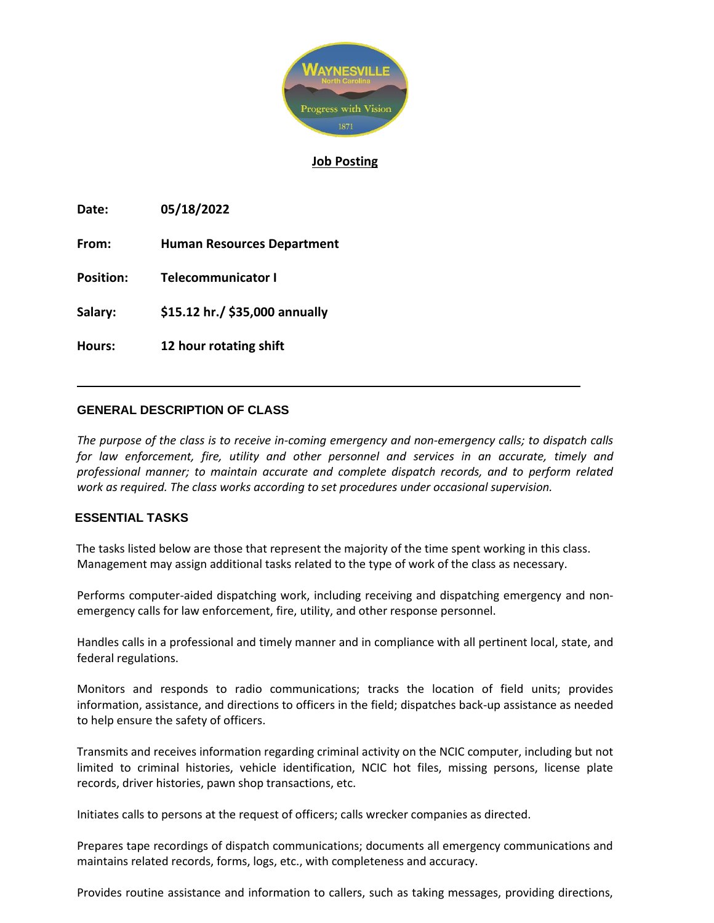

# **Job Posting**

**Date: 05/18/2022**

**From: Human Resources Department**

**Position: Telecommunicator I**

**Salary: \$15.12 hr./ \$35,000 annually** 

**Hours: 12 hour rotating shift** 

# **GENERAL DESCRIPTION OF CLASS**

*The purpose of the class is to receive in-coming emergency and non-emergency calls; to dispatch calls*  for law enforcement, fire, utility and other personnel and services in an accurate, timely and *professional manner; to maintain accurate and complete dispatch records, and to perform related work as required. The class works according to set procedures under occasional supervision.*

# **ESSENTIAL TASKS**

The tasks listed below are those that represent the majority of the time spent working in this class. Management may assign additional tasks related to the type of work of the class as necessary.

Performs computer-aided dispatching work, including receiving and dispatching emergency and nonemergency calls for law enforcement, fire, utility, and other response personnel.

Handles calls in a professional and timely manner and in compliance with all pertinent local, state, and federal regulations.

Monitors and responds to radio communications; tracks the location of field units; provides information, assistance, and directions to officers in the field; dispatches back-up assistance as needed to help ensure the safety of officers.

Transmits and receives information regarding criminal activity on the NCIC computer, including but not limited to criminal histories, vehicle identification, NCIC hot files, missing persons, license plate records, driver histories, pawn shop transactions, etc.

Initiates calls to persons at the request of officers; calls wrecker companies as directed.

Prepares tape recordings of dispatch communications; documents all emergency communications and maintains related records, forms, logs, etc., with completeness and accuracy.

Provides routine assistance and information to callers, such as taking messages, providing directions,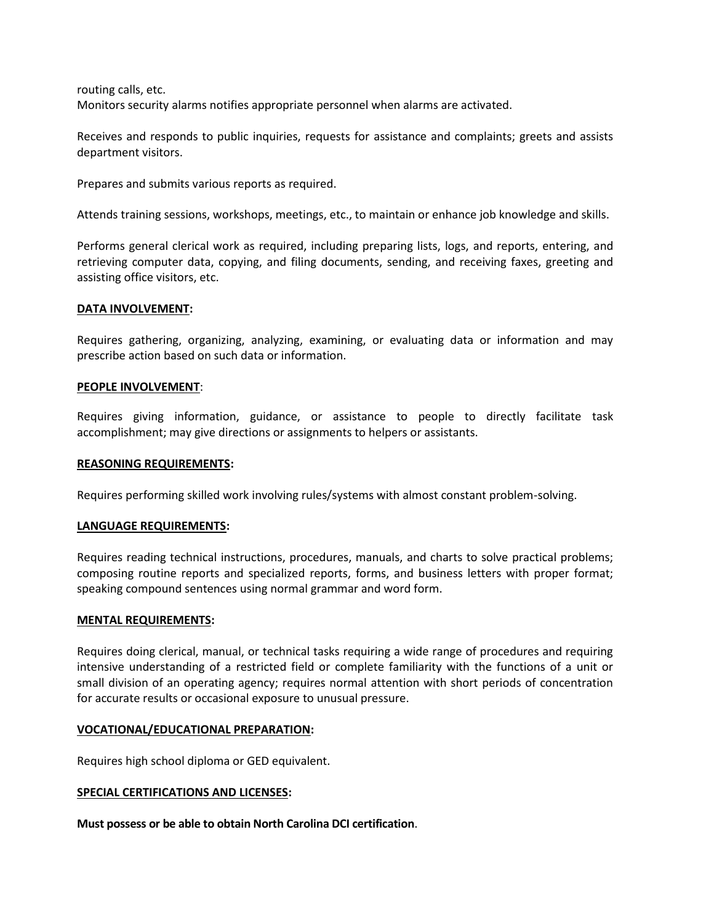routing calls, etc. Monitors security alarms notifies appropriate personnel when alarms are activated.

Receives and responds to public inquiries, requests for assistance and complaints; greets and assists department visitors.

Prepares and submits various reports as required.

Attends training sessions, workshops, meetings, etc., to maintain or enhance job knowledge and skills.

Performs general clerical work as required, including preparing lists, logs, and reports, entering, and retrieving computer data, copying, and filing documents, sending, and receiving faxes, greeting and assisting office visitors, etc.

## **DATA INVOLVEMENT:**

Requires gathering, organizing, analyzing, examining, or evaluating data or information and may prescribe action based on such data or information.

## **PEOPLE INVOLVEMENT**:

Requires giving information, guidance, or assistance to people to directly facilitate task accomplishment; may give directions or assignments to helpers or assistants.

#### **REASONING REQUIREMENTS:**

Requires performing skilled work involving rules/systems with almost constant problem-solving.

# **LANGUAGE REQUIREMENTS:**

Requires reading technical instructions, procedures, manuals, and charts to solve practical problems; composing routine reports and specialized reports, forms, and business letters with proper format; speaking compound sentences using normal grammar and word form.

#### **MENTAL REQUIREMENTS:**

Requires doing clerical, manual, or technical tasks requiring a wide range of procedures and requiring intensive understanding of a restricted field or complete familiarity with the functions of a unit or small division of an operating agency; requires normal attention with short periods of concentration for accurate results or occasional exposure to unusual pressure.

# **VOCATIONAL/EDUCATIONAL PREPARATION:**

Requires high school diploma or GED equivalent.

# **SPECIAL CERTIFICATIONS AND LICENSES:**

**Must possess or be able to obtain North Carolina DCI certification**.